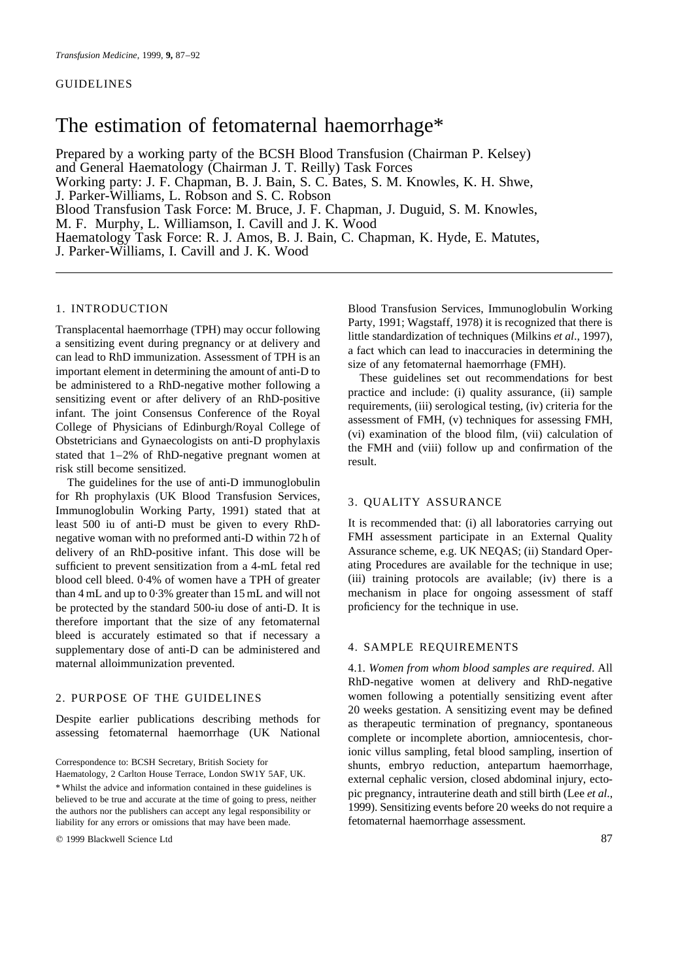# The estimation of fetomaternal haemorrhage\*

Prepared by a working party of the BCSH Blood Transfusion (Chairman P. Kelsey) and General Haematology (Chairman J. T. Reilly) Task Forces Working party: J. F. Chapman, B. J. Bain, S. C. Bates, S. M. Knowles, K. H. Shwe, J. Parker-Williams, L. Robson and S. C. Robson Blood Transfusion Task Force: M. Bruce, J. F. Chapman, J. Duguid, S. M. Knowles, M. F. Murphy, L. Williamson, I. Cavill and J. K. Wood Haematology Task Force: R. J. Amos, B. J. Bain, C. Chapman, K. Hyde, E. Matutes, J. Parker-Williams, I. Cavill and J. K. Wood

# 1. INTRODUCTION

Transplacental haemorrhage (TPH) may occur following a sensitizing event during pregnancy or at delivery and can lead to RhD immunization. Assessment of TPH is an important element in determining the amount of anti-D to be administered to a RhD-negative mother following a sensitizing event or after delivery of an RhD-positive infant. The joint Consensus Conference of the Royal College of Physicians of Edinburgh/Royal College of Obstetricians and Gynaecologists on anti-D prophylaxis stated that 1–2% of RhD-negative pregnant women at risk still become sensitized.

The guidelines for the use of anti-D immunoglobulin for Rh prophylaxis (UK Blood Transfusion Services, Immunoglobulin Working Party, 1991) stated that at least 500 iu of anti-D must be given to every RhDnegative woman with no preformed anti-D within 72 h of delivery of an RhD-positive infant. This dose will be sufficient to prevent sensitization from a 4-mL fetal red blood cell bleed. 0·4% of women have a TPH of greater than 4 mL and up to 0·3% greater than 15 mL and will not be protected by the standard 500-iu dose of anti-D. It is therefore important that the size of any fetomaternal bleed is accurately estimated so that if necessary a supplementary dose of anti-D can be administered and maternal alloimmunization prevented.

# 2. PURPOSE OF THE GUIDELINES

Despite earlier publications describing methods for assessing fetomaternal haemorrhage (UK National

Correspondence to: BCSH Secretary, British Society for Haematology, 2 Carlton House Terrace, London SW1Y 5AF, UK. \* Whilst the advice and information contained in these guidelines is believed to be true and accurate at the time of going to press, neither the authors nor the publishers can accept any legal responsibility or liability for any errors or omissions that may have been made.

q 1999 Blackwell Science Ltd 87

Blood Transfusion Services, Immunoglobulin Working Party, 1991; Wagstaff, 1978) it is recognized that there is little standardization of techniques (Milkins *et al*., 1997), a fact which can lead to inaccuracies in determining the size of any fetomaternal haemorrhage (FMH).

These guidelines set out recommendations for best practice and include: (i) quality assurance, (ii) sample requirements, (iii) serological testing, (iv) criteria for the assessment of FMH, (v) techniques for assessing FMH, (vi) examination of the blood film, (vii) calculation of the FMH and (viii) follow up and confirmation of the result.

## 3. QUALITY ASSURANCE

It is recommended that: (i) all laboratories carrying out FMH assessment participate in an External Quality Assurance scheme, e.g. UK NEQAS; (ii) Standard Operating Procedures are available for the technique in use; (iii) training protocols are available; (iv) there is a mechanism in place for ongoing assessment of staff proficiency for the technique in use.

# 4. SAMPLE REQUIREMENTS

4.1. *Women from whom blood samples are required*. All RhD-negative women at delivery and RhD-negative women following a potentially sensitizing event after 20 weeks gestation. A sensitizing event may be defined as therapeutic termination of pregnancy, spontaneous complete or incomplete abortion, amniocentesis, chorionic villus sampling, fetal blood sampling, insertion of shunts, embryo reduction, antepartum haemorrhage, external cephalic version, closed abdominal injury, ectopic pregnancy, intrauterine death and still birth (Lee *et al*., 1999). Sensitizing events before 20 weeks do not require a fetomaternal haemorrhage assessment.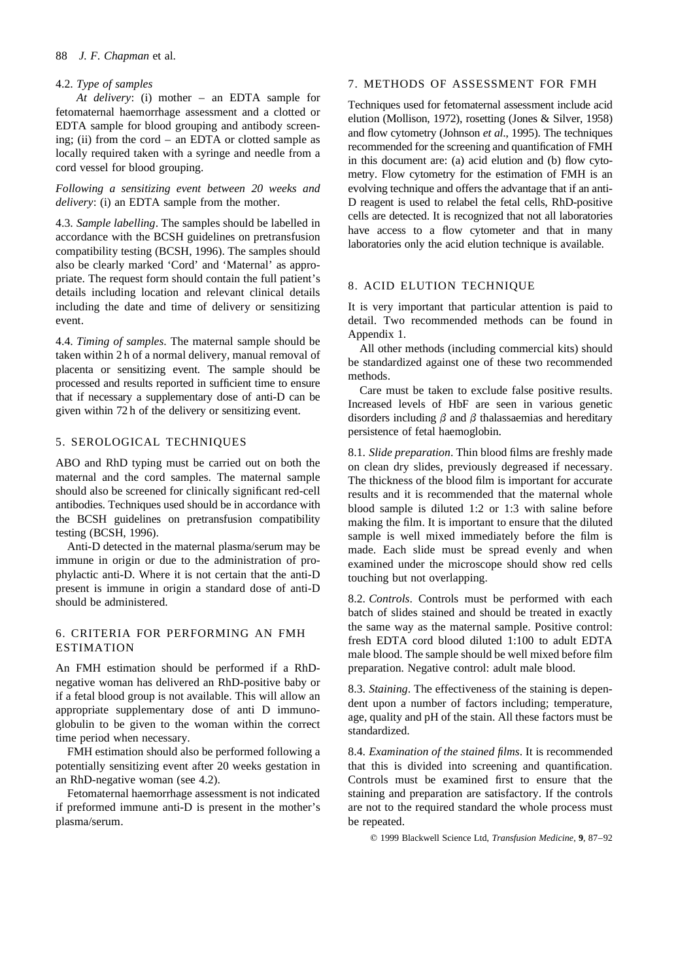#### 88 *J. F. Chapman* et al.

# 4.2. *Type of samples*

*At delivery*: (i) mother – an EDTA sample for fetomaternal haemorrhage assessment and a clotted or EDTA sample for blood grouping and antibody screening; (ii) from the cord – an EDTA or clotted sample as locally required taken with a syringe and needle from a cord vessel for blood grouping.

*Following a sensitizing event between 20 weeks and delivery*: (i) an EDTA sample from the mother.

4.3. *Sample labelling*. The samples should be labelled in accordance with the BCSH guidelines on pretransfusion compatibility testing (BCSH, 1996). The samples should also be clearly marked 'Cord' and 'Maternal' as appropriate. The request form should contain the full patient's details including location and relevant clinical details including the date and time of delivery or sensitizing event.

4.4. *Timing of samples*. The maternal sample should be taken within 2 h of a normal delivery, manual removal of placenta or sensitizing event. The sample should be processed and results reported in sufficient time to ensure that if necessary a supplementary dose of anti-D can be given within 72 h of the delivery or sensitizing event.

# 5. SEROLOGICAL TECHNIQUES

ABO and RhD typing must be carried out on both the maternal and the cord samples. The maternal sample should also be screened for clinically significant red-cell antibodies. Techniques used should be in accordance with the BCSH guidelines on pretransfusion compatibility testing (BCSH, 1996).

Anti-D detected in the maternal plasma/serum may be immune in origin or due to the administration of prophylactic anti-D. Where it is not certain that the anti-D present is immune in origin a standard dose of anti-D should be administered.

# 6. CRITERIA FOR PERFORMING AN FMH ESTIMATION

An FMH estimation should be performed if a RhDnegative woman has delivered an RhD-positive baby or if a fetal blood group is not available. This will allow an appropriate supplementary dose of anti D immunoglobulin to be given to the woman within the correct time period when necessary.

FMH estimation should also be performed following a potentially sensitizing event after 20 weeks gestation in an RhD-negative woman (see 4.2).

Fetomaternal haemorrhage assessment is not indicated if preformed immune anti-D is present in the mother's plasma/serum.

#### 7. METHODS OF ASSESSMENT FOR FMH

Techniques used for fetomaternal assessment include acid elution (Mollison, 1972), rosetting (Jones & Silver, 1958) and flow cytometry (Johnson *et al*., 1995). The techniques recommended for the screening and quantification of FMH in this document are: (a) acid elution and (b) flow cytometry. Flow cytometry for the estimation of FMH is an evolving technique and offers the advantage that if an anti-D reagent is used to relabel the fetal cells, RhD-positive cells are detected. It is recognized that not all laboratories have access to a flow cytometer and that in many laboratories only the acid elution technique is available.

# 8. ACID ELUTION TECHNIQUE

It is very important that particular attention is paid to detail. Two recommended methods can be found in Appendix 1.

All other methods (including commercial kits) should be standardized against one of these two recommended methods.

Care must be taken to exclude false positive results. Increased levels of HbF are seen in various genetic disorders including  $\beta$  and  $\beta$  thalassaemias and hereditary persistence of fetal haemoglobin.

8.1. *Slide preparation*. Thin blood films are freshly made on clean dry slides, previously degreased if necessary. The thickness of the blood film is important for accurate results and it is recommended that the maternal whole blood sample is diluted 1:2 or 1:3 with saline before making the film. It is important to ensure that the diluted sample is well mixed immediately before the film is made. Each slide must be spread evenly and when examined under the microscope should show red cells touching but not overlapping.

8.2. *Controls*. Controls must be performed with each batch of slides stained and should be treated in exactly the same way as the maternal sample. Positive control: fresh EDTA cord blood diluted 1:100 to adult EDTA male blood. The sample should be well mixed before film preparation. Negative control: adult male blood.

8.3. *Staining*. The effectiveness of the staining is dependent upon a number of factors including; temperature, age, quality and pH of the stain. All these factors must be standardized.

8.4. *Examination of the stained films*. It is recommended that this is divided into screening and quantification. Controls must be examined first to ensure that the staining and preparation are satisfactory. If the controls are not to the required standard the whole process must be repeated.

q 1999 Blackwell Science Ltd, *Transfusion Medicine*, **9**, 87–92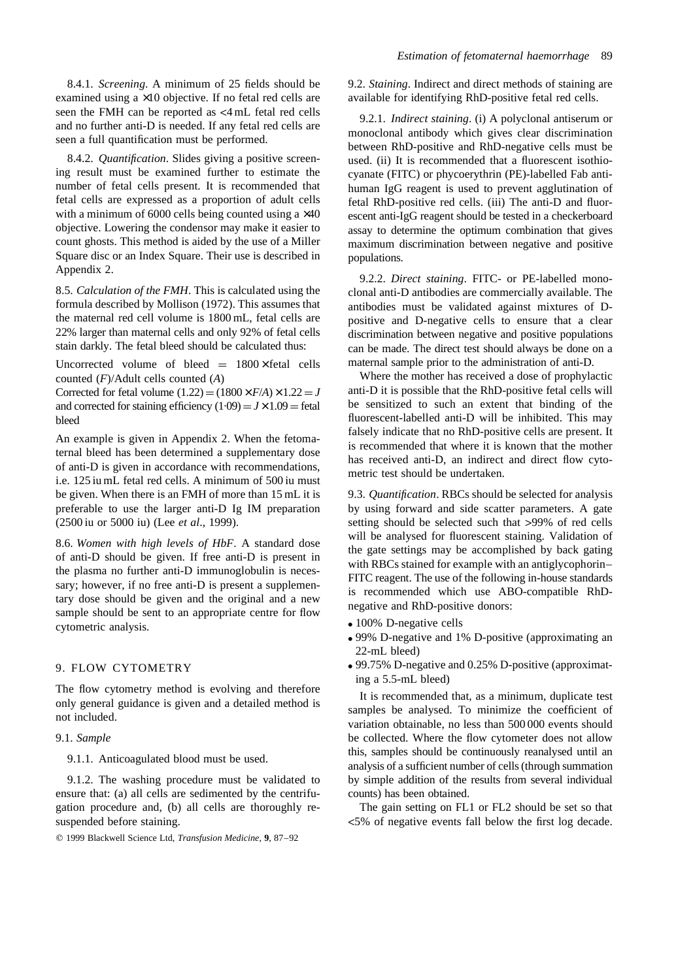8.4.1. *Screening*. A minimum of 25 fields should be examined using a ×10 objective. If no fetal red cells are seen the FMH can be reported as <4 mL fetal red cells and no further anti-D is needed. If any fetal red cells are seen a full quantification must be performed.

8.4.2. *Quantification*. Slides giving a positive screening result must be examined further to estimate the number of fetal cells present. It is recommended that fetal cells are expressed as a proportion of adult cells with a minimum of  $6000$  cells being counted using a  $\times 40$ objective. Lowering the condensor may make it easier to count ghosts. This method is aided by the use of a Miller Square disc or an Index Square. Their use is described in Appendix 2.

8.5. *Calculation of the FMH*. This is calculated using the formula described by Mollison (1972). This assumes that the maternal red cell volume is 1800 mL, fetal cells are 22% larger than maternal cells and only 92% of fetal cells stain darkly. The fetal bleed should be calculated thus:

Uncorrected volume of bleed  $= 1800 \times$  fetal cells counted (*F*)/Adult cells counted (*A*)

Corrected for fetal volume  $(1.22) = (1800 \times F/A) \times 1.22 = J$ and corrected for staining efficiency  $(1.09) = J \times 1.09$  = fetal bleed

An example is given in Appendix 2. When the fetomaternal bleed has been determined a supplementary dose of anti-D is given in accordance with recommendations, i.e. 125 iu mL fetal red cells. A minimum of 500 iu must be given. When there is an FMH of more than 15 mL it is preferable to use the larger anti-D Ig IM preparation (2500 iu or 5000 iu) (Lee *et al*., 1999).

8.6. *Women with high levels of HbF*. A standard dose of anti-D should be given. If free anti-D is present in the plasma no further anti-D immunoglobulin is necessary; however, if no free anti-D is present a supplementary dose should be given and the original and a new sample should be sent to an appropriate centre for flow cytometric analysis.

# 9. FLOW CYTOMETRY

The flow cytometry method is evolving and therefore only general guidance is given and a detailed method is not included.

9.1. *Sample*

9.1.1. Anticoagulated blood must be used.

9.1.2. The washing procedure must be validated to ensure that: (a) all cells are sedimented by the centrifugation procedure and, (b) all cells are thoroughly resuspended before staining.

q 1999 Blackwell Science Ltd, *Transfusion Medicine*, **9**, 87–92

9.2. *Staining*. Indirect and direct methods of staining are available for identifying RhD-positive fetal red cells.

9.2.1. *Indirect staining*. (i) A polyclonal antiserum or monoclonal antibody which gives clear discrimination between RhD-positive and RhD-negative cells must be used. (ii) It is recommended that a fluorescent isothiocyanate (FITC) or phycoerythrin (PE)-labelled Fab antihuman IgG reagent is used to prevent agglutination of fetal RhD-positive red cells. (iii) The anti-D and fluorescent anti-IgG reagent should be tested in a checkerboard assay to determine the optimum combination that gives maximum discrimination between negative and positive populations.

9.2.2. *Direct staining*. FITC- or PE-labelled monoclonal anti-D antibodies are commercially available. The antibodies must be validated against mixtures of Dpositive and D-negative cells to ensure that a clear discrimination between negative and positive populations can be made. The direct test should always be done on a maternal sample prior to the administration of anti-D.

Where the mother has received a dose of prophylactic anti-D it is possible that the RhD-positive fetal cells will be sensitized to such an extent that binding of the fluorescent-labelled anti-D will be inhibited. This may falsely indicate that no RhD-positive cells are present. It is recommended that where it is known that the mother has received anti-D, an indirect and direct flow cytometric test should be undertaken.

9.3. *Quantification*. RBCs should be selected for analysis by using forward and side scatter parameters. A gate setting should be selected such that >99% of red cells will be analysed for fluorescent staining. Validation of the gate settings may be accomplished by back gating with RBCs stained for example with an antiglycophorin– FITC reagent. The use of the following in-house standards is recommended which use ABO-compatible RhDnegative and RhD-positive donors:

- $\bullet$  100% D-negative cells
- 99% D-negative and 1% D-positive (approximating an 22-mL bleed)
- $\bullet$  99.75% D-negative and 0.25% D-positive (approximating a 5.5-mL bleed)

It is recommended that, as a minimum, duplicate test samples be analysed. To minimize the coefficient of variation obtainable, no less than 500 000 events should be collected. Where the flow cytometer does not allow this, samples should be continuously reanalysed until an analysis of a sufficient number of cells (through summation by simple addition of the results from several individual counts) has been obtained.

The gain setting on FL1 or FL2 should be set so that <5% of negative events fall below the first log decade.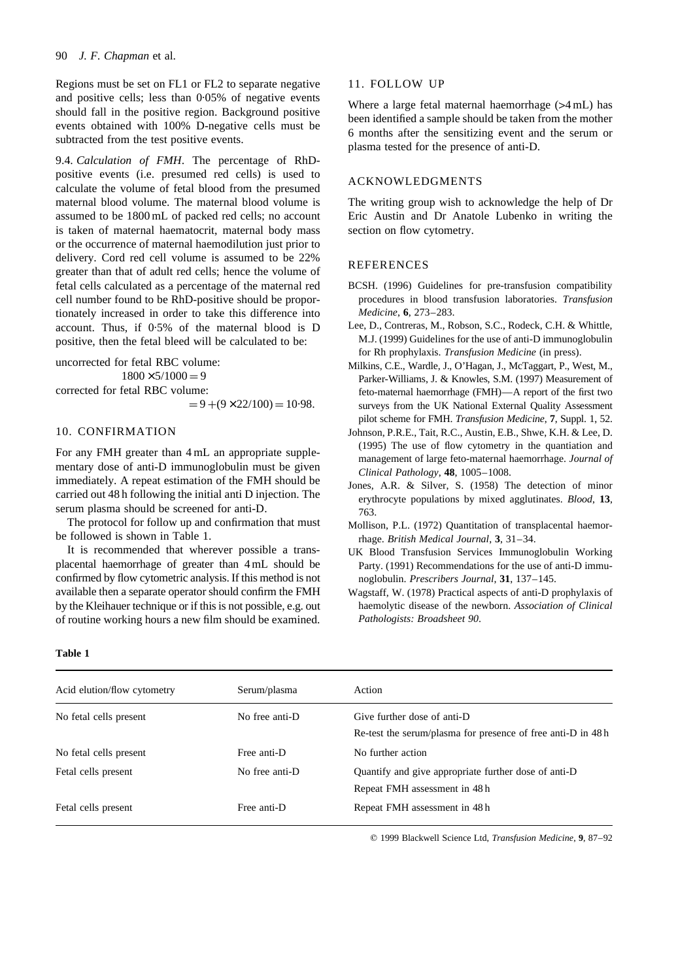Regions must be set on FL1 or FL2 to separate negative and positive cells; less than 0·05% of negative events should fall in the positive region. Background positive events obtained with 100% D-negative cells must be subtracted from the test positive events.

9.4. *Calculation of FMH*. The percentage of RhDpositive events (i.e. presumed red cells) is used to calculate the volume of fetal blood from the presumed maternal blood volume. The maternal blood volume is assumed to be 1800 mL of packed red cells; no account is taken of maternal haematocrit, maternal body mass or the occurrence of maternal haemodilution just prior to delivery. Cord red cell volume is assumed to be 22% greater than that of adult red cells; hence the volume of fetal cells calculated as a percentage of the maternal red cell number found to be RhD-positive should be proportionately increased in order to take this difference into account. Thus, if 0·5% of the maternal blood is D positive, then the fetal bleed will be calculated to be:

uncorrected for fetal RBC volume:

 $1800 \times 5/1000 = 9$ corrected for fetal RBC volume:  $= 9 + (9 \times 22/100) = 10.98.$ 

# 10. CONFIRMATION

For any FMH greater than 4 mL an appropriate supplementary dose of anti-D immunoglobulin must be given immediately. A repeat estimation of the FMH should be carried out 48 h following the initial anti D injection. The serum plasma should be screened for anti-D.

The protocol for follow up and confirmation that must be followed is shown in Table 1.

It is recommended that wherever possible a transplacental haemorrhage of greater than 4 mL should be confirmed by flow cytometric analysis. If this method is not available then a separate operator should confirm the FMH by the Kleihauer technique or if this is not possible, e.g. out of routine working hours a new film should be examined.

#### 11. FOLLOW UP

Where a large fetal maternal haemorrhage (>4 mL) has been identified a sample should be taken from the mother 6 months after the sensitizing event and the serum or plasma tested for the presence of anti-D.

## ACKNOWLEDGMENTS

The writing group wish to acknowledge the help of Dr Eric Austin and Dr Anatole Lubenko in writing the section on flow cytometry.

#### **REFERENCES**

- BCSH. (1996) Guidelines for pre-transfusion compatibility procedures in blood transfusion laboratories. *Transfusion Medicine*, **6**, 273–283.
- Lee, D., Contreras, M., Robson, S.C., Rodeck, C.H. & Whittle, M.J. (1999) Guidelines for the use of anti-D immunoglobulin for Rh prophylaxis. *Transfusion Medicine* (in press).
- Milkins, C.E., Wardle, J., O'Hagan, J., McTaggart, P., West, M., Parker-Williams, J. & Knowles, S.M. (1997) Measurement of feto-maternal haemorrhage (FMH)—A report of the first two surveys from the UK National External Quality Assessment pilot scheme for FMH. *Transfusion Medicine*, **7**, Suppl. 1, 52.
- Johnson, P.R.E., Tait, R.C., Austin, E.B., Shwe, K.H. & Lee, D. (1995) The use of flow cytometry in the quantiation and management of large feto-maternal haemorrhage. *Journal of Clinical Pathology*, **48**, 1005–1008.
- Jones, A.R. & Silver, S. (1958) The detection of minor erythrocyte populations by mixed agglutinates. *Blood*, **13**, 763.
- Mollison, P.L. (1972) Quantitation of transplacental haemorrhage. *British Medical Journal*, **3**, 31–34.
- UK Blood Transfusion Services Immunoglobulin Working Party. (1991) Recommendations for the use of anti-D immunoglobulin. *Prescribers Journal*, **31**, 137–145.
- Wagstaff, W. (1978) Practical aspects of anti-D prophylaxis of haemolytic disease of the newborn. *Association of Clinical Pathologists: Broadsheet 90*.

## **Table 1**

| Acid elution/flow cytometry | Serum/plasma   | Action                                                      |
|-----------------------------|----------------|-------------------------------------------------------------|
| No fetal cells present      | No free anti-D | Give further dose of anti-D                                 |
|                             |                | Re-test the serum/plasma for presence of free anti-D in 48h |
| No fetal cells present      | Free anti-D    | No further action                                           |
| Fetal cells present         | No free anti-D | Quantify and give appropriate further dose of anti-D        |
|                             |                | Repeat FMH assessment in 48h                                |
| Fetal cells present         | Free anti-D    | Repeat FMH assessment in 48h                                |

q 1999 Blackwell Science Ltd, *Transfusion Medicine*, **9**, 87–92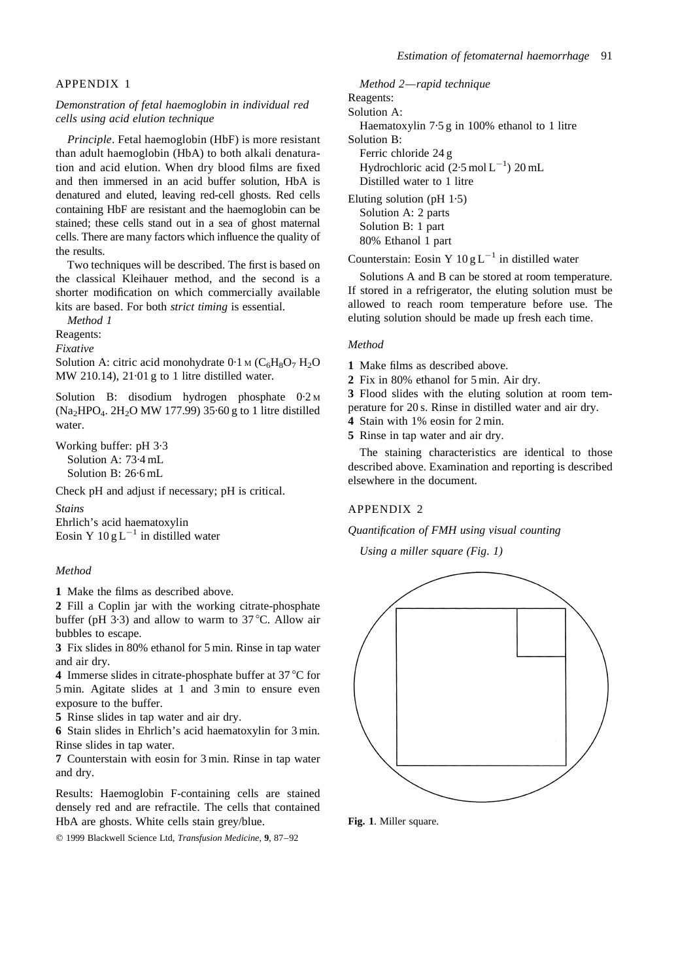#### APPENDIX 1

# *Demonstration of fetal haemoglobin in individual red cells using acid elution technique*

*Principle*. Fetal haemoglobin (HbF) is more resistant than adult haemoglobin (HbA) to both alkali denaturation and acid elution. When dry blood films are fixed and then immersed in an acid buffer solution, HbA is denatured and eluted, leaving red-cell ghosts. Red cells containing HbF are resistant and the haemoglobin can be stained; these cells stand out in a sea of ghost maternal cells. There are many factors which influence the quality of the results.

Two techniques will be described. The first is based on the classical Kleihauer method, and the second is a shorter modification on which commercially available kits are based. For both *strict timing* is essential.

*Method 1*

Reagents:

*Fixative*

Solution A: citric acid monohydrate  $0.1$  M ( $C_6H_8O_7H_2O$ MW 210.14), 21·01 g to 1 litre distilled water.

Solution B: disodium hydrogen phosphate 0·2 <sup>M</sup>  $(Na_2HPO_4$ . 2H<sub>2</sub>O MW 177.99) 35.60 g to 1 litre distilled water.

Working buffer: pH 3·3 Solution A: 73·4 mL Solution B: 26·6 mL

Check pH and adjust if necessary; pH is critical.

*Stains*

Ehrlich's acid haematoxylin Eosin Y  $10 g L^{-1}$  in distilled water

#### *Method*

**1** Make the films as described above.

**2** Fill a Coplin jar with the working citrate-phosphate buffer (pH 3.3) and allow to warm to  $37^{\circ}$ C. Allow air bubbles to escape.

**3** Fix slides in 80% ethanol for 5 min. Rinse in tap water and air dry.

4 Immerse slides in citrate-phosphate buffer at 37 °C for 5 min. Agitate slides at 1 and 3 min to ensure even exposure to the buffer.

**5** Rinse slides in tap water and air dry.

**6** Stain slides in Ehrlich's acid haematoxylin for 3 min. Rinse slides in tap water.

**7** Counterstain with eosin for 3 min. Rinse in tap water and dry.

Results: Haemoglobin F-containing cells are stained densely red and are refractile. The cells that contained HbA are ghosts. White cells stain grey/blue.

q 1999 Blackwell Science Ltd, *Transfusion Medicine*, **9**, 87–92

*Method 2—rapid technique* Reagents: Solution A: Haematoxylin 7·5 g in 100% ethanol to 1 litre Solution B: Ferric chloride 24 g Hydrochloric acid  $(2.5 \text{ mol L}^{-1})$  20 mL Distilled water to 1 litre Eluting solution (pH 1·5) Solution A: 2 parts Solution B: 1 part 80% Ethanol 1 part

Counterstain: Eosin Y  $10 \text{ g L}^{-1}$  in distilled water

Solutions A and B can be stored at room temperature. If stored in a refrigerator, the eluting solution must be allowed to reach room temperature before use. The eluting solution should be made up fresh each time.

#### *Method*

**1** Make films as described above.

**2** Fix in 80% ethanol for 5 min. Air dry.

**3** Flood slides with the eluting solution at room tem-

perature for 20 s. Rinse in distilled water and air dry.

**4** Stain with 1% eosin for 2 min.

**5** Rinse in tap water and air dry.

The staining characteristics are identical to those described above. Examination and reporting is described elsewhere in the document.

#### APPENDIX 2

# *Quantification of FMH using visual counting*

*Using a miller square (Fig. 1)*



**Fig. 1**. Miller square.